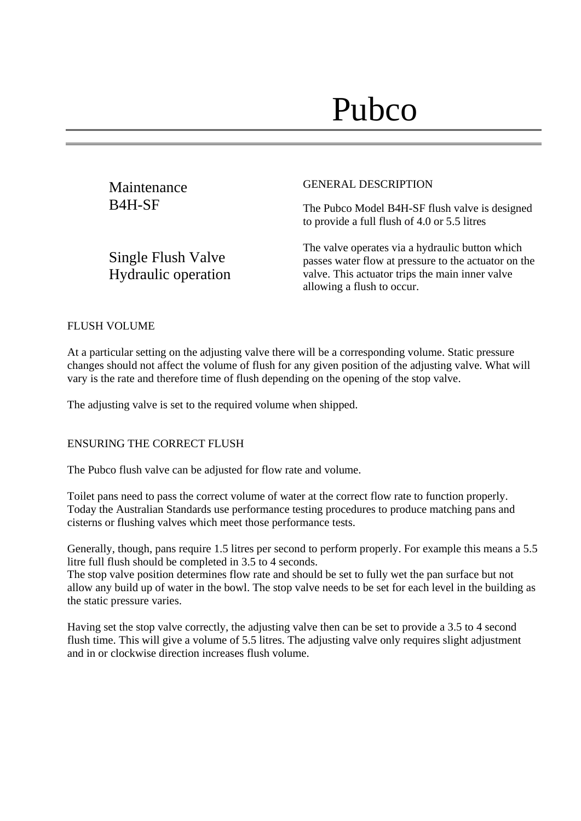| Maintenance         | <b>GENERAL DESCRIPTION</b>                                                                     |
|---------------------|------------------------------------------------------------------------------------------------|
| B <sub>4</sub> H-SF | The Pubco Model B4H-SF flush valve is designed<br>to provide a full flush of 4.0 or 5.5 litres |

Single Flush Valve Hydraulic operation The valve operates via a hydraulic button which passes water flow at pressure to the actuator on the valve. This actuator trips the main inner valve allowing a flush to occur.

## FLUSH VOLUME

At a particular setting on the adjusting valve there will be a corresponding volume. Static pressure changes should not affect the volume of flush for any given position of the adjusting valve. What will vary is the rate and therefore time of flush depending on the opening of the stop valve.

The adjusting valve is set to the required volume when shipped.

#### ENSURING THE CORRECT FLUSH

The Pubco flush valve can be adjusted for flow rate and volume.

Toilet pans need to pass the correct volume of water at the correct flow rate to function properly. Today the Australian Standards use performance testing procedures to produce matching pans and cisterns or flushing valves which meet those performance tests.

Generally, though, pans require 1.5 litres per second to perform properly. For example this means a 5.5 litre full flush should be completed in 3.5 to 4 seconds.

The stop valve position determines flow rate and should be set to fully wet the pan surface but not allow any build up of water in the bowl. The stop valve needs to be set for each level in the building as the static pressure varies.

Having set the stop valve correctly, the adjusting valve then can be set to provide a 3.5 to 4 second flush time. This will give a volume of 5.5 litres. The adjusting valve only requires slight adjustment and in or clockwise direction increases flush volume.